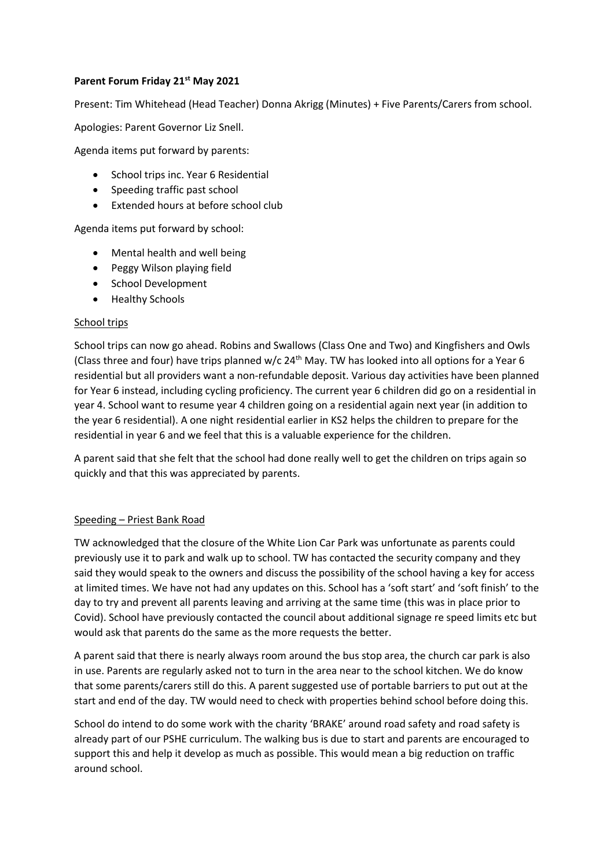## **Parent Forum Friday 21st May 2021**

Present: Tim Whitehead (Head Teacher) Donna Akrigg (Minutes) + Five Parents/Carers from school.

Apologies: Parent Governor Liz Snell.

Agenda items put forward by parents:

- School trips inc. Year 6 Residential
- Speeding traffic past school
- Extended hours at before school club

Agenda items put forward by school:

- Mental health and well being
- Peggy Wilson playing field
- School Development
- Healthy Schools

## School trips

School trips can now go ahead. Robins and Swallows (Class One and Two) and Kingfishers and Owls (Class three and four) have trips planned w/c 24<sup>th</sup> May. TW has looked into all options for a Year 6 residential but all providers want a non-refundable deposit. Various day activities have been planned for Year 6 instead, including cycling proficiency. The current year 6 children did go on a residential in year 4. School want to resume year 4 children going on a residential again next year (in addition to the year 6 residential). A one night residential earlier in KS2 helps the children to prepare for the residential in year 6 and we feel that this is a valuable experience for the children.

A parent said that she felt that the school had done really well to get the children on trips again so quickly and that this was appreciated by parents.

## Speeding – Priest Bank Road

TW acknowledged that the closure of the White Lion Car Park was unfortunate as parents could previously use it to park and walk up to school. TW has contacted the security company and they said they would speak to the owners and discuss the possibility of the school having a key for access at limited times. We have not had any updates on this. School has a 'soft start' and 'soft finish' to the day to try and prevent all parents leaving and arriving at the same time (this was in place prior to Covid). School have previously contacted the council about additional signage re speed limits etc but would ask that parents do the same as the more requests the better.

A parent said that there is nearly always room around the bus stop area, the church car park is also in use. Parents are regularly asked not to turn in the area near to the school kitchen. We do know that some parents/carers still do this. A parent suggested use of portable barriers to put out at the start and end of the day. TW would need to check with properties behind school before doing this.

School do intend to do some work with the charity 'BRAKE' around road safety and road safety is already part of our PSHE curriculum. The walking bus is due to start and parents are encouraged to support this and help it develop as much as possible. This would mean a big reduction on traffic around school.